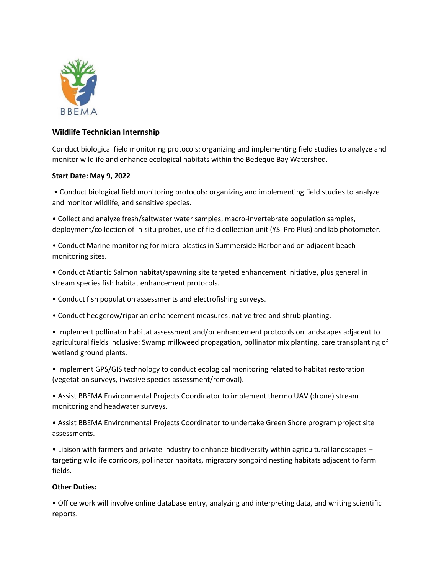

## **Wildlife Technician Internship**

Conduct biological field monitoring protocols: organizing and implementing field studies to analyze and monitor wildlife and enhance ecological habitats within the Bedeque Bay Watershed.

## **Start Date: May 9, 2022**

• Conduct biological field monitoring protocols: organizing and implementing field studies to analyze and monitor wildlife, and sensitive species.

• Collect and analyze fresh/saltwater water samples, macro-invertebrate population samples, deployment/collection of in-situ probes, use of field collection unit (YSI Pro Plus) and lab photometer.

• Conduct Marine monitoring for micro-plastics in Summerside Harbor and on adjacent beach monitoring sites.

• Conduct Atlantic Salmon habitat/spawning site targeted enhancement initiative, plus general in stream species fish habitat enhancement protocols.

- Conduct fish population assessments and electrofishing surveys.
- Conduct hedgerow/riparian enhancement measures: native tree and shrub planting.

• Implement pollinator habitat assessment and/or enhancement protocols on landscapes adjacent to agricultural fields inclusive: Swamp milkweed propagation, pollinator mix planting, care transplanting of wetland ground plants.

• Implement GPS/GIS technology to conduct ecological monitoring related to habitat restoration (vegetation surveys, invasive species assessment/removal).

• Assist BBEMA Environmental Projects Coordinator to implement thermo UAV (drone) stream monitoring and headwater surveys.

• Assist BBEMA Environmental Projects Coordinator to undertake Green Shore program project site assessments.

• Liaison with farmers and private industry to enhance biodiversity within agricultural landscapes – targeting wildlife corridors, pollinator habitats, migratory songbird nesting habitats adjacent to farm fields.

## **Other Duties:**

• Office work will involve online database entry, analyzing and interpreting data, and writing scientific reports.